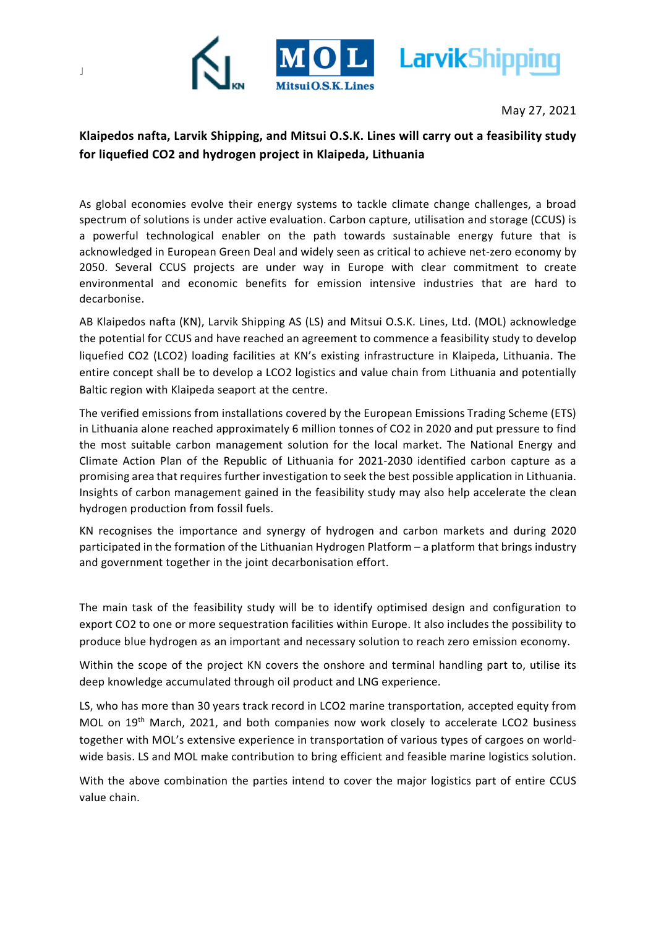

May 27, 2021

## Klaipedos nafta, Larvik Shipping, and Mitsui O.S.K. Lines will carry out a feasibility study for liquefied CO2 and hydrogen project in Klaipeda, Lithuania

As global economies evolve their energy systems to tackle climate change challenges, a broad spectrum of solutions is under active evaluation. Carbon capture, utilisation and storage (CCUS) is a powerful technological enabler on the path towards sustainable energy future that is acknowledged in European Green Deal and widely seen as critical to achieve net-zero economy by 2050. Several CCUS projects are under way in Europe with clear commitment to create environmental and economic benefits for emission intensive industries that are hard to decarbonise.

AB Klaipedos nafta (KN), Larvik Shipping AS (LS) and Mitsui O.S.K. Lines, Ltd. (MOL) acknowledge the potential for CCUS and have reached an agreement to commence a feasibility study to develop liquefied CO2 (LCO2) loading facilities at KN's existing infrastructure in Klaipeda, Lithuania. The entire concept shall be to develop a LCO2 logistics and value chain from Lithuania and potentially Baltic region with Klaipeda seaport at the centre.

The verified emissions from installations covered by the European Emissions Trading Scheme (ETS) in Lithuania alone reached approximately 6 million tonnes of CO2 in 2020 and put pressure to find the most suitable carbon management solution for the local market. The National Energy and Climate Action Plan of the Republic of Lithuania for 2021-2030 identified carbon capture as a promising area that requires further investigation to seek the best possible application in Lithuania. Insights of carbon management gained in the feasibility study may also help accelerate the clean hydrogen production from fossil fuels.

KN recognises the importance and synergy of hydrogen and carbon markets and during 2020 participated in the formation of the Lithuanian Hydrogen Platform – a platform that brings industry and government together in the joint decarbonisation effort.

The main task of the feasibility study will be to identify optimised design and configuration to export CO2 to one or more sequestration facilities within Europe. It also includes the possibility to produce blue hydrogen as an important and necessary solution to reach zero emission economy.

Within the scope of the project KN covers the onshore and terminal handling part to, utilise its deep knowledge accumulated through oil product and LNG experience.

LS, who has more than 30 years track record in LCO2 marine transportation, accepted equity from MOL on 19<sup>th</sup> March, 2021, and both companies now work closely to accelerate LCO2 business together with MOL's extensive experience in transportation of various types of cargoes on worldwide basis. LS and MOL make contribution to bring efficient and feasible marine logistics solution.

With the above combination the parties intend to cover the major logistics part of entire CCUS value chain.